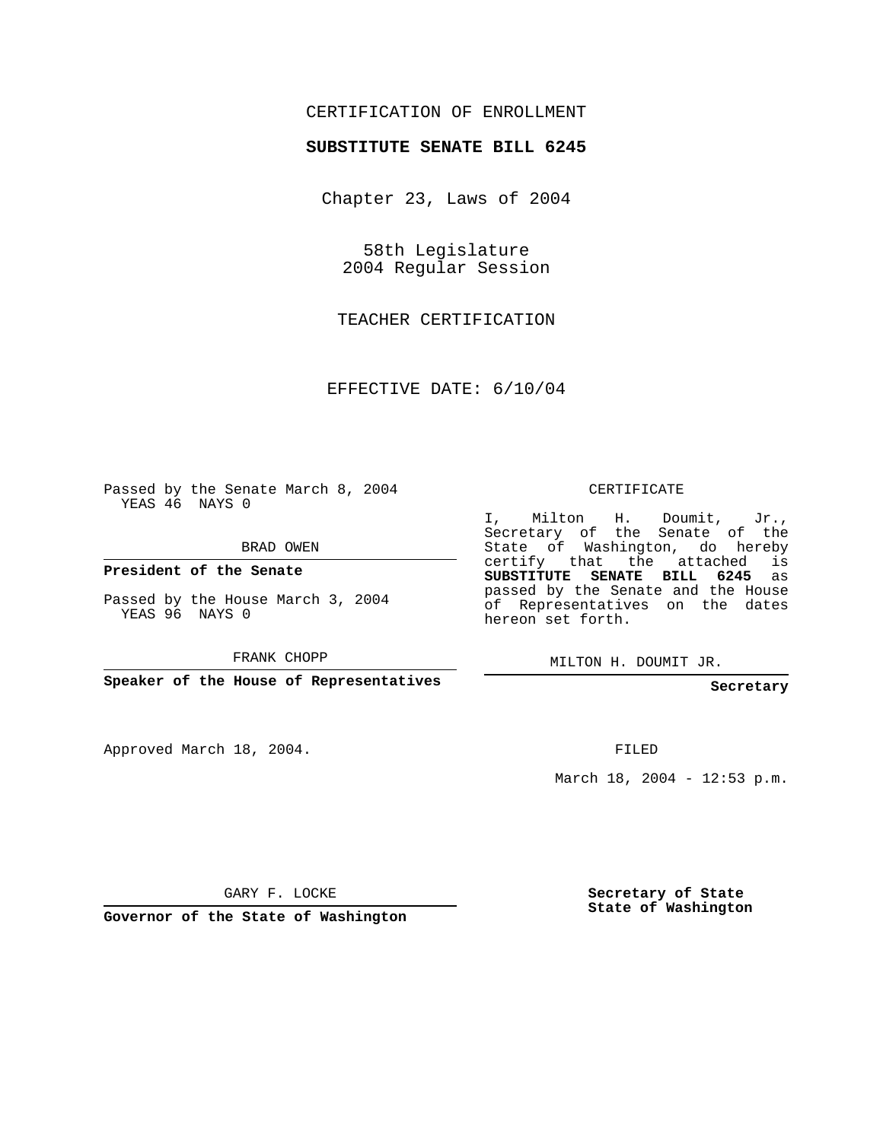## CERTIFICATION OF ENROLLMENT

## **SUBSTITUTE SENATE BILL 6245**

Chapter 23, Laws of 2004

58th Legislature 2004 Regular Session

TEACHER CERTIFICATION

EFFECTIVE DATE: 6/10/04

Passed by the Senate March 8, 2004 YEAS 46 NAYS 0

BRAD OWEN

**President of the Senate**

Passed by the House March 3, 2004 YEAS 96 NAYS 0

FRANK CHOPP

**Speaker of the House of Representatives**

Approved March 18, 2004.

CERTIFICATE

I, Milton H. Doumit, Jr., Secretary of the Senate of the State of Washington, do hereby certify that the attached is **SUBSTITUTE SENATE BILL 6245** as passed by the Senate and the House of Representatives on the dates hereon set forth.

MILTON H. DOUMIT JR.

**Secretary**

FILED

March 18, 2004 - 12:53 p.m.

GARY F. LOCKE

**Governor of the State of Washington**

**Secretary of State State of Washington**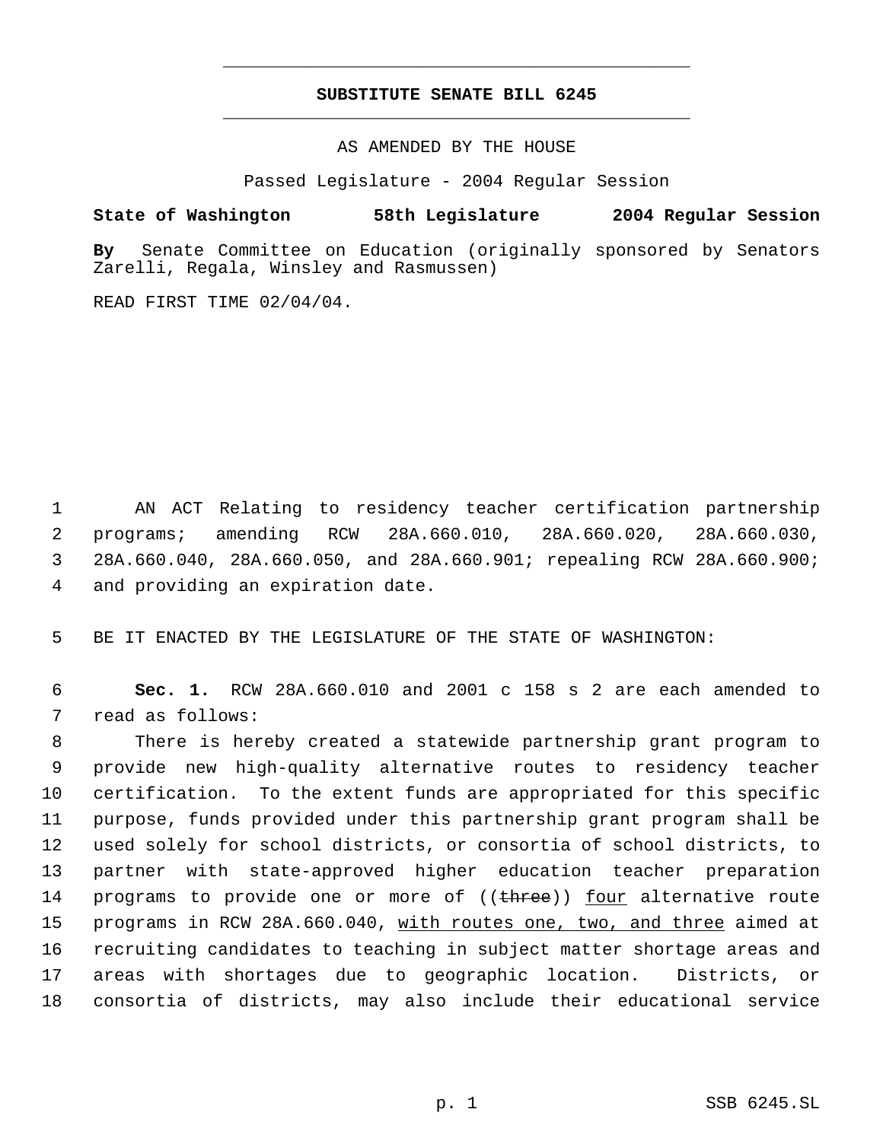## **SUBSTITUTE SENATE BILL 6245** \_\_\_\_\_\_\_\_\_\_\_\_\_\_\_\_\_\_\_\_\_\_\_\_\_\_\_\_\_\_\_\_\_\_\_\_\_\_\_\_\_\_\_\_\_

\_\_\_\_\_\_\_\_\_\_\_\_\_\_\_\_\_\_\_\_\_\_\_\_\_\_\_\_\_\_\_\_\_\_\_\_\_\_\_\_\_\_\_\_\_

AS AMENDED BY THE HOUSE

Passed Legislature - 2004 Regular Session

## **State of Washington 58th Legislature 2004 Regular Session**

**By** Senate Committee on Education (originally sponsored by Senators Zarelli, Regala, Winsley and Rasmussen)

READ FIRST TIME 02/04/04.

 AN ACT Relating to residency teacher certification partnership programs; amending RCW 28A.660.010, 28A.660.020, 28A.660.030, 28A.660.040, 28A.660.050, and 28A.660.901; repealing RCW 28A.660.900; and providing an expiration date.

5 BE IT ENACTED BY THE LEGISLATURE OF THE STATE OF WASHINGTON:

 6 **Sec. 1.** RCW 28A.660.010 and 2001 c 158 s 2 are each amended to 7 read as follows:

 There is hereby created a statewide partnership grant program to provide new high-quality alternative routes to residency teacher certification. To the extent funds are appropriated for this specific purpose, funds provided under this partnership grant program shall be used solely for school districts, or consortia of school districts, to partner with state-approved higher education teacher preparation 14 programs to provide one or more of ((three)) four alternative route 15 programs in RCW 28A.660.040, with routes one, two, and three aimed at recruiting candidates to teaching in subject matter shortage areas and areas with shortages due to geographic location. Districts, or consortia of districts, may also include their educational service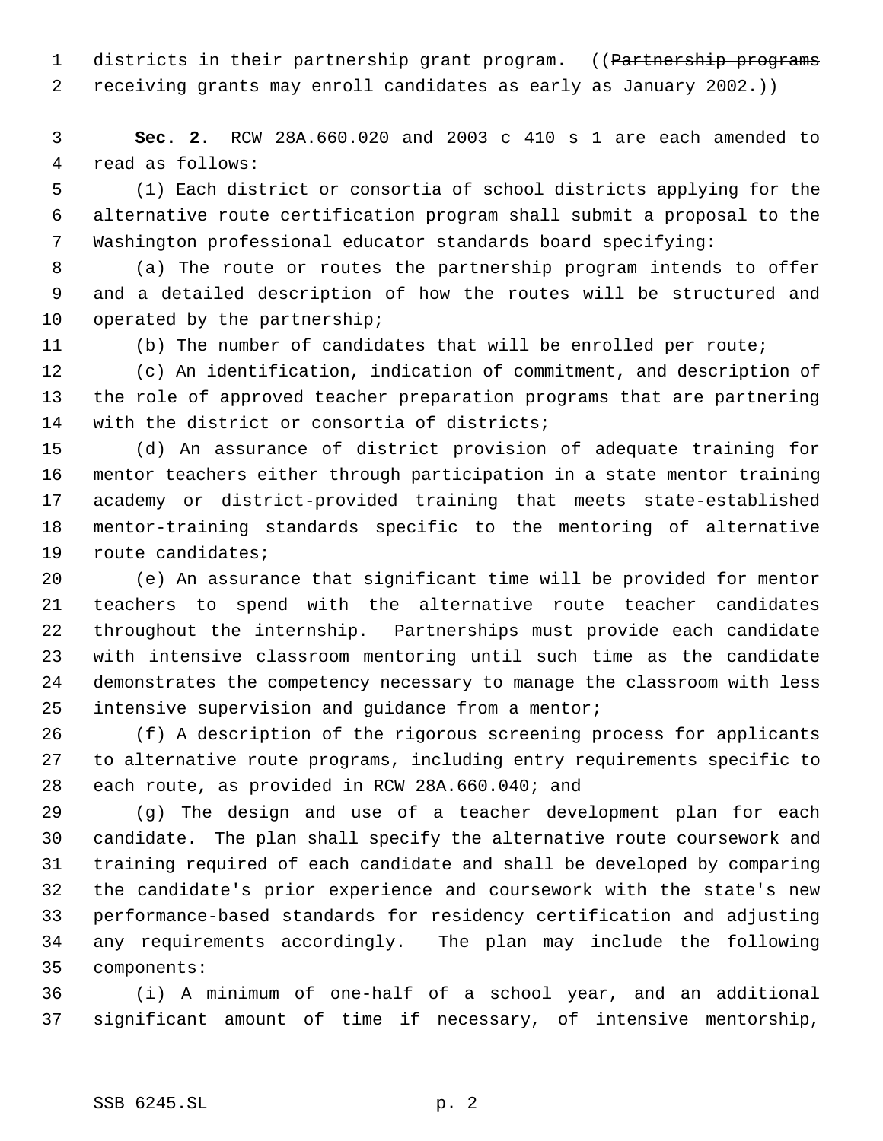1 districts in their partnership grant program. ((Partnership programs

receiving grants may enroll candidates as early as January 2002.))

 **Sec. 2.** RCW 28A.660.020 and 2003 c 410 s 1 are each amended to read as follows:

 (1) Each district or consortia of school districts applying for the alternative route certification program shall submit a proposal to the Washington professional educator standards board specifying:

 (a) The route or routes the partnership program intends to offer and a detailed description of how the routes will be structured and 10 operated by the partnership;

(b) The number of candidates that will be enrolled per route;

 (c) An identification, indication of commitment, and description of the role of approved teacher preparation programs that are partnering with the district or consortia of districts;

 (d) An assurance of district provision of adequate training for mentor teachers either through participation in a state mentor training academy or district-provided training that meets state-established mentor-training standards specific to the mentoring of alternative route candidates;

 (e) An assurance that significant time will be provided for mentor teachers to spend with the alternative route teacher candidates throughout the internship. Partnerships must provide each candidate with intensive classroom mentoring until such time as the candidate demonstrates the competency necessary to manage the classroom with less intensive supervision and guidance from a mentor;

 (f) A description of the rigorous screening process for applicants to alternative route programs, including entry requirements specific to each route, as provided in RCW 28A.660.040; and

 (g) The design and use of a teacher development plan for each candidate. The plan shall specify the alternative route coursework and training required of each candidate and shall be developed by comparing the candidate's prior experience and coursework with the state's new performance-based standards for residency certification and adjusting any requirements accordingly. The plan may include the following components:

 (i) A minimum of one-half of a school year, and an additional significant amount of time if necessary, of intensive mentorship,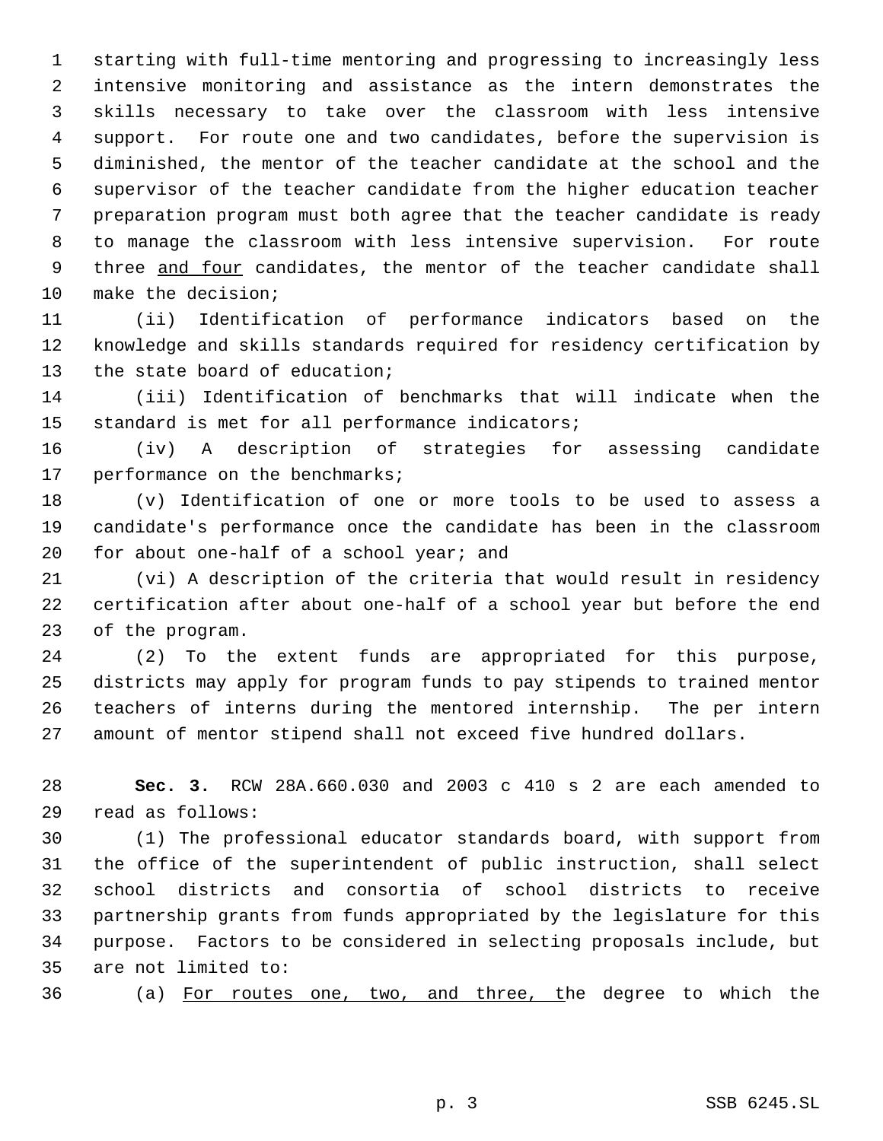starting with full-time mentoring and progressing to increasingly less intensive monitoring and assistance as the intern demonstrates the skills necessary to take over the classroom with less intensive support. For route one and two candidates, before the supervision is diminished, the mentor of the teacher candidate at the school and the supervisor of the teacher candidate from the higher education teacher preparation program must both agree that the teacher candidate is ready to manage the classroom with less intensive supervision. For route 9 three and four candidates, the mentor of the teacher candidate shall make the decision;

 (ii) Identification of performance indicators based on the knowledge and skills standards required for residency certification by the state board of education;

 (iii) Identification of benchmarks that will indicate when the standard is met for all performance indicators;

 (iv) A description of strategies for assessing candidate performance on the benchmarks;

 (v) Identification of one or more tools to be used to assess a candidate's performance once the candidate has been in the classroom for about one-half of a school year; and

 (vi) A description of the criteria that would result in residency certification after about one-half of a school year but before the end of the program.

 (2) To the extent funds are appropriated for this purpose, districts may apply for program funds to pay stipends to trained mentor teachers of interns during the mentored internship. The per intern amount of mentor stipend shall not exceed five hundred dollars.

 **Sec. 3.** RCW 28A.660.030 and 2003 c 410 s 2 are each amended to read as follows:

 (1) The professional educator standards board, with support from the office of the superintendent of public instruction, shall select school districts and consortia of school districts to receive partnership grants from funds appropriated by the legislature for this purpose. Factors to be considered in selecting proposals include, but are not limited to:

(a) For routes one, two, and three, the degree to which the

p. 3 SSB 6245.SL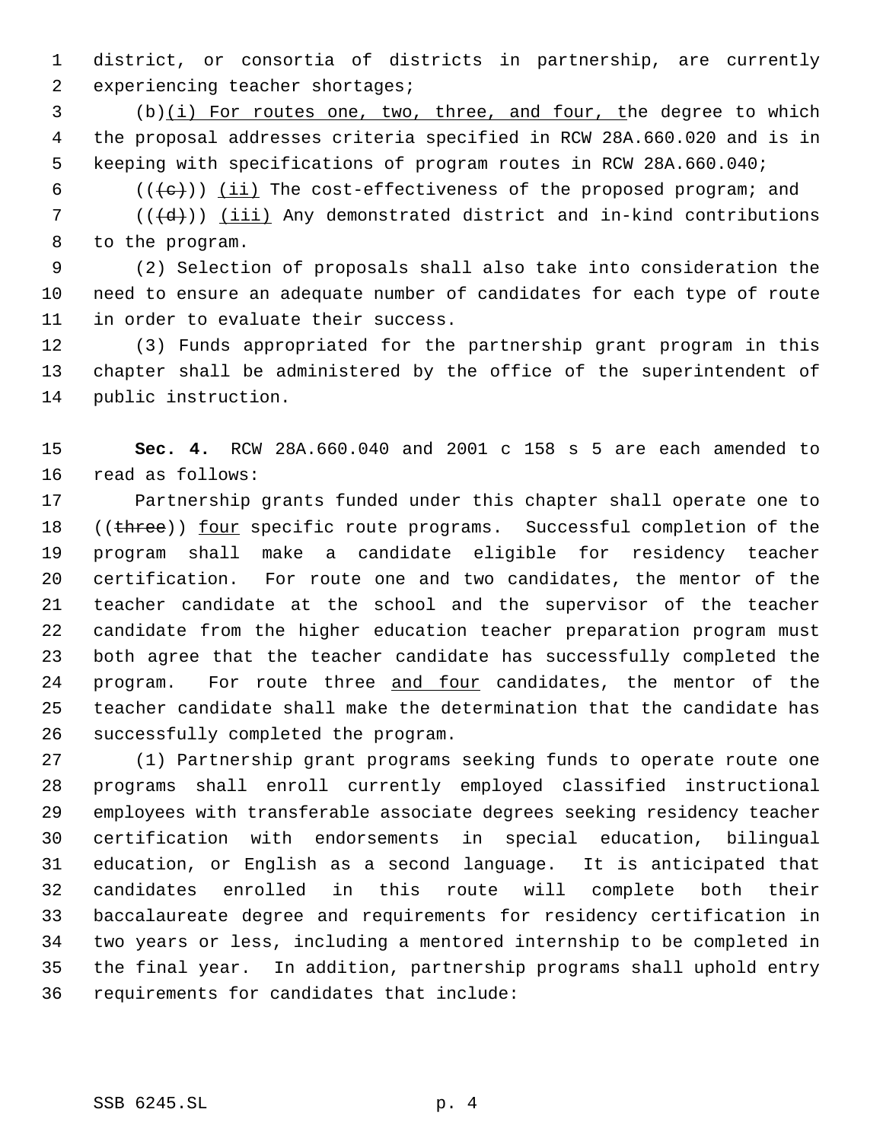district, or consortia of districts in partnership, are currently experiencing teacher shortages;

 (b)(i) For routes one, two, three, and four, the degree to which the proposal addresses criteria specified in RCW 28A.660.020 and is in keeping with specifications of program routes in RCW 28A.660.040;

 $((+e))$  ( $\underline{i}\underline{i}$ ) The cost-effectiveness of the proposed program; and

 (( $\left(\frac{1}{d} \right)$ ) (iii) Any demonstrated district and in-kind contributions to the program.

 (2) Selection of proposals shall also take into consideration the need to ensure an adequate number of candidates for each type of route in order to evaluate their success.

 (3) Funds appropriated for the partnership grant program in this chapter shall be administered by the office of the superintendent of public instruction.

 **Sec. 4.** RCW 28A.660.040 and 2001 c 158 s 5 are each amended to read as follows:

 Partnership grants funded under this chapter shall operate one to 18 ((three)) four specific route programs. Successful completion of the program shall make a candidate eligible for residency teacher certification. For route one and two candidates, the mentor of the teacher candidate at the school and the supervisor of the teacher candidate from the higher education teacher preparation program must both agree that the teacher candidate has successfully completed the 24 program. For route three and four candidates, the mentor of the teacher candidate shall make the determination that the candidate has successfully completed the program.

 (1) Partnership grant programs seeking funds to operate route one programs shall enroll currently employed classified instructional employees with transferable associate degrees seeking residency teacher certification with endorsements in special education, bilingual education, or English as a second language. It is anticipated that candidates enrolled in this route will complete both their baccalaureate degree and requirements for residency certification in two years or less, including a mentored internship to be completed in the final year. In addition, partnership programs shall uphold entry requirements for candidates that include: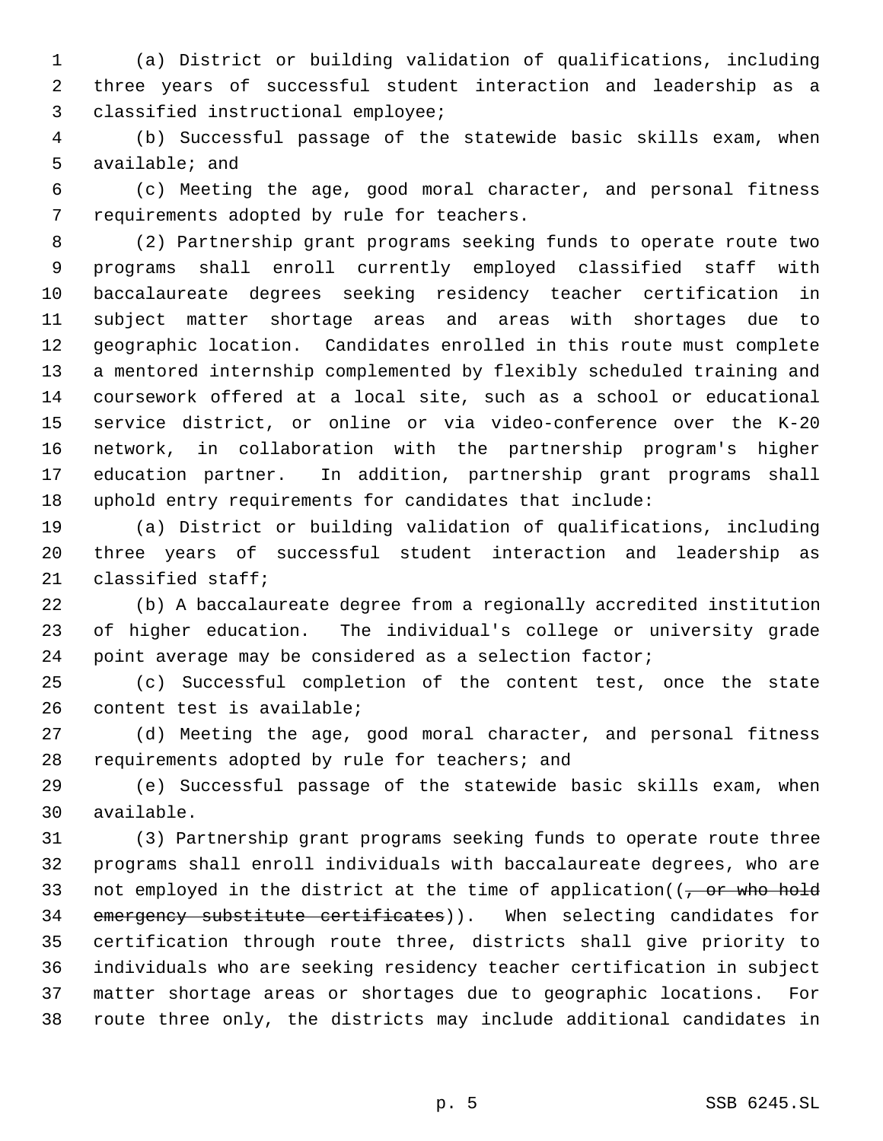(a) District or building validation of qualifications, including three years of successful student interaction and leadership as a classified instructional employee;

 (b) Successful passage of the statewide basic skills exam, when available; and

 (c) Meeting the age, good moral character, and personal fitness requirements adopted by rule for teachers.

 (2) Partnership grant programs seeking funds to operate route two programs shall enroll currently employed classified staff with baccalaureate degrees seeking residency teacher certification in subject matter shortage areas and areas with shortages due to geographic location. Candidates enrolled in this route must complete a mentored internship complemented by flexibly scheduled training and coursework offered at a local site, such as a school or educational service district, or online or via video-conference over the K-20 network, in collaboration with the partnership program's higher education partner. In addition, partnership grant programs shall uphold entry requirements for candidates that include:

 (a) District or building validation of qualifications, including three years of successful student interaction and leadership as classified staff;

 (b) A baccalaureate degree from a regionally accredited institution of higher education. The individual's college or university grade point average may be considered as a selection factor;

 (c) Successful completion of the content test, once the state content test is available;

 (d) Meeting the age, good moral character, and personal fitness requirements adopted by rule for teachers; and

 (e) Successful passage of the statewide basic skills exam, when available.

 (3) Partnership grant programs seeking funds to operate route three programs shall enroll individuals with baccalaureate degrees, who are 33 not employed in the district at the time of application( $(-$ or who hold 34 emergency substitute certificates)). When selecting candidates for certification through route three, districts shall give priority to individuals who are seeking residency teacher certification in subject matter shortage areas or shortages due to geographic locations. For route three only, the districts may include additional candidates in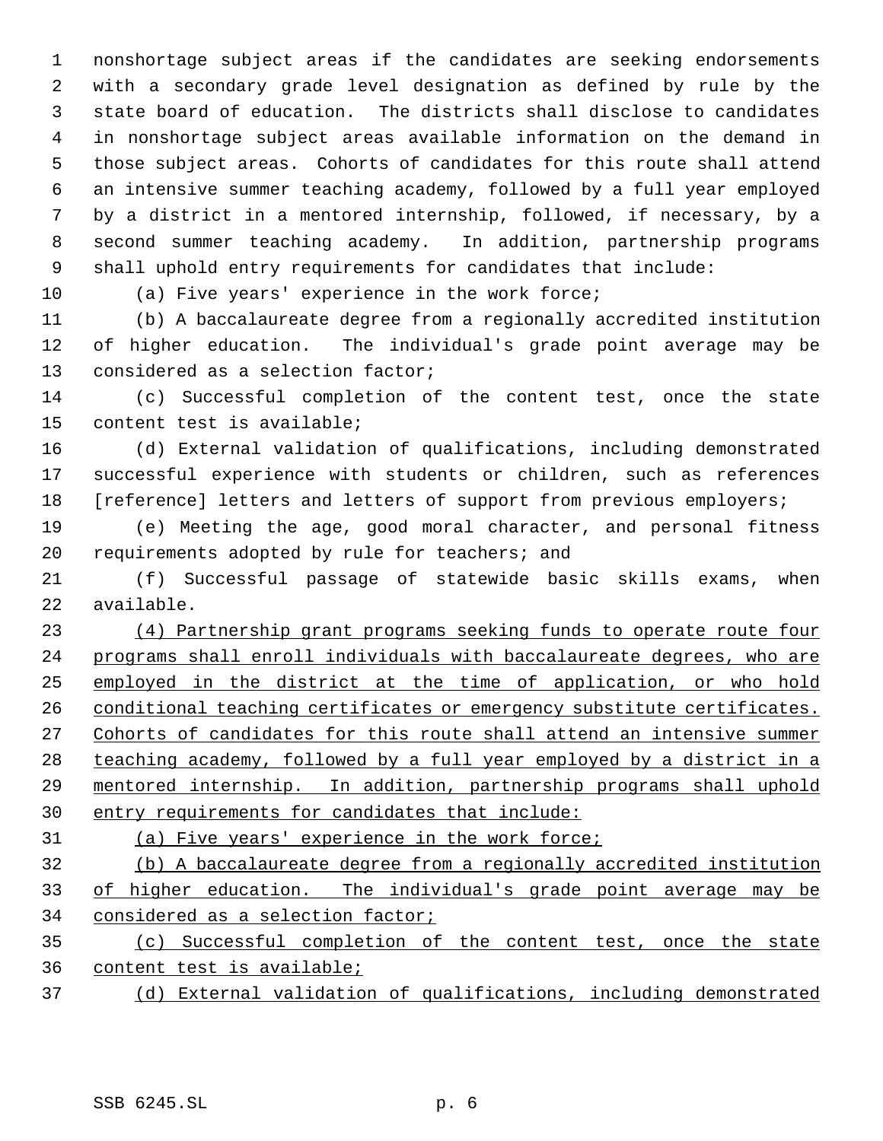nonshortage subject areas if the candidates are seeking endorsements with a secondary grade level designation as defined by rule by the state board of education. The districts shall disclose to candidates in nonshortage subject areas available information on the demand in those subject areas. Cohorts of candidates for this route shall attend an intensive summer teaching academy, followed by a full year employed by a district in a mentored internship, followed, if necessary, by a second summer teaching academy. In addition, partnership programs shall uphold entry requirements for candidates that include:

(a) Five years' experience in the work force;

 (b) A baccalaureate degree from a regionally accredited institution of higher education. The individual's grade point average may be considered as a selection factor;

 (c) Successful completion of the content test, once the state content test is available;

 (d) External validation of qualifications, including demonstrated successful experience with students or children, such as references [reference] letters and letters of support from previous employers;

 (e) Meeting the age, good moral character, and personal fitness requirements adopted by rule for teachers; and

 (f) Successful passage of statewide basic skills exams, when available.

 (4) Partnership grant programs seeking funds to operate route four programs shall enroll individuals with baccalaureate degrees, who are employed in the district at the time of application, or who hold 26 conditional teaching certificates or emergency substitute certificates. 27 Cohorts of candidates for this route shall attend an intensive summer teaching academy, followed by a full year employed by a district in a mentored internship. In addition, partnership programs shall uphold entry requirements for candidates that include:

(a) Five years' experience in the work force;

 (b) A baccalaureate degree from a regionally accredited institution of higher education. The individual's grade point average may be considered as a selection factor;

 (c) Successful completion of the content test, once the state content test is available;

(d) External validation of qualifications, including demonstrated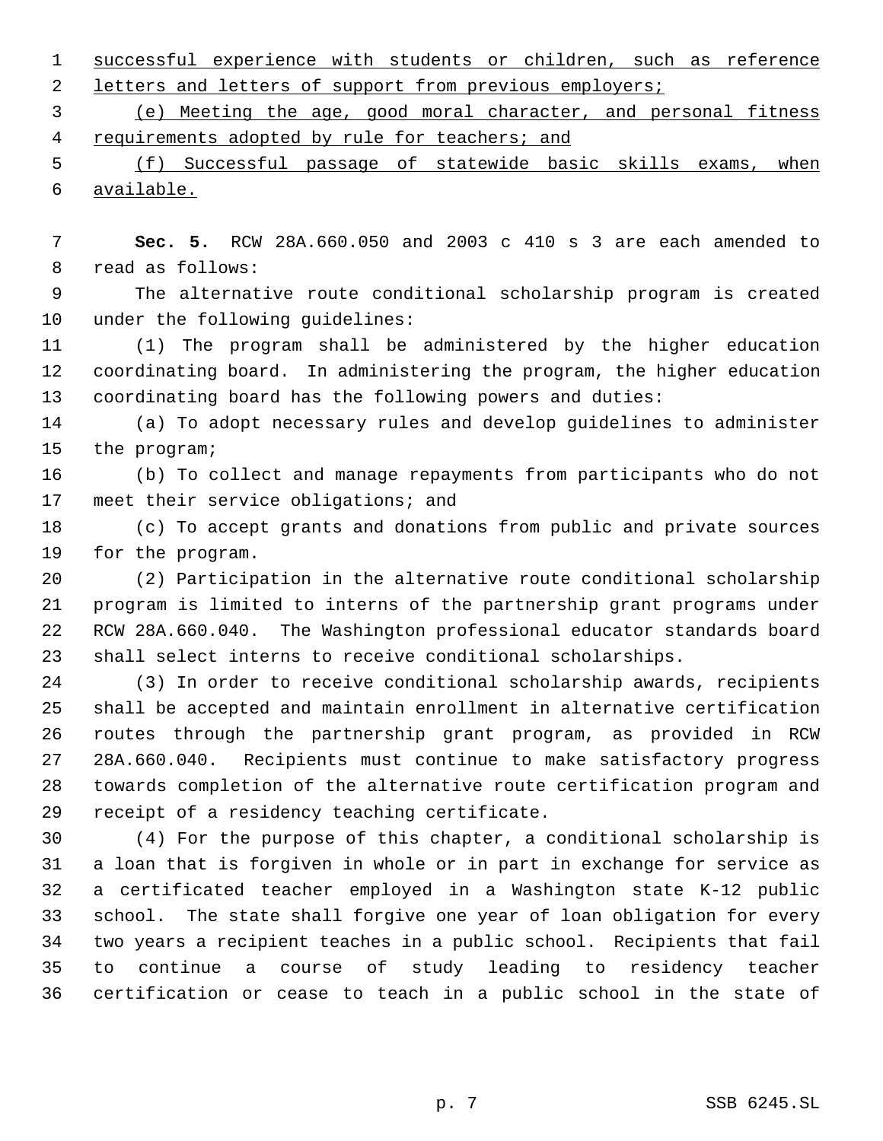successful experience with students or children, such as reference 2 letters and letters of support from previous employers;

 (e) Meeting the age, good moral character, and personal fitness 4 requirements adopted by rule for teachers; and

 (f) Successful passage of statewide basic skills exams, when available.

 **Sec. 5.** RCW 28A.660.050 and 2003 c 410 s 3 are each amended to read as follows:

 The alternative route conditional scholarship program is created under the following guidelines:

 (1) The program shall be administered by the higher education coordinating board. In administering the program, the higher education coordinating board has the following powers and duties:

 (a) To adopt necessary rules and develop guidelines to administer the program;

 (b) To collect and manage repayments from participants who do not 17 meet their service obligations; and

 (c) To accept grants and donations from public and private sources for the program.

 (2) Participation in the alternative route conditional scholarship program is limited to interns of the partnership grant programs under RCW 28A.660.040. The Washington professional educator standards board shall select interns to receive conditional scholarships.

 (3) In order to receive conditional scholarship awards, recipients shall be accepted and maintain enrollment in alternative certification routes through the partnership grant program, as provided in RCW 28A.660.040. Recipients must continue to make satisfactory progress towards completion of the alternative route certification program and receipt of a residency teaching certificate.

 (4) For the purpose of this chapter, a conditional scholarship is a loan that is forgiven in whole or in part in exchange for service as a certificated teacher employed in a Washington state K-12 public school. The state shall forgive one year of loan obligation for every two years a recipient teaches in a public school. Recipients that fail to continue a course of study leading to residency teacher certification or cease to teach in a public school in the state of